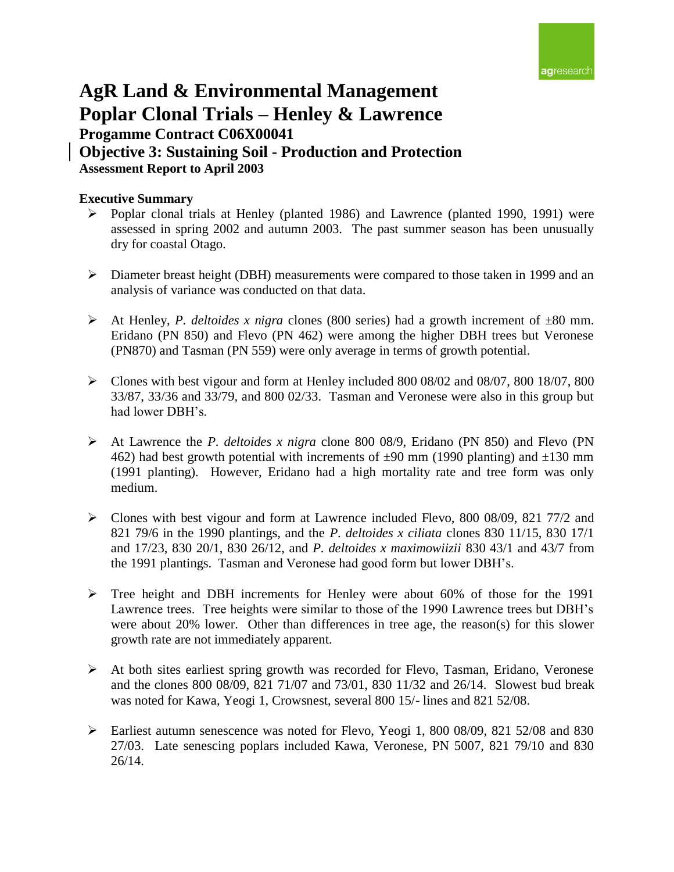

# **AgR Land & Environmental Management Poplar Clonal Trials – Henley & Lawrence Progamme Contract C06X00041 Objective 3: Sustaining Soil - Production and Protection Assessment Report to April 2003**

## **Executive Summary**

- Poplar clonal trials at Henley (planted 1986) and Lawrence (planted 1990, 1991) were assessed in spring 2002 and autumn 2003. The past summer season has been unusually dry for coastal Otago.
- Diameter breast height (DBH) measurements were compared to those taken in 1999 and an analysis of variance was conducted on that data.
- At Henley, *P. deltoides x nigra* clones (800 series) had a growth increment of  $\pm 80$  mm. Eridano (PN 850) and Flevo (PN 462) were among the higher DBH trees but Veronese (PN870) and Tasman (PN 559) were only average in terms of growth potential.
- Clones with best vigour and form at Henley included 800 08/02 and 08/07, 800 18/07, 800 33/87, 33/36 and 33/79, and 800 02/33. Tasman and Veronese were also in this group but had lower DBH's.
- At Lawrence the *P. deltoides x nigra* clone 800 08/9, Eridano (PN 850) and Flevo (PN 462) had best growth potential with increments of  $\pm 90$  mm (1990 planting) and  $\pm 130$  mm (1991 planting). However, Eridano had a high mortality rate and tree form was only medium.
- Clones with best vigour and form at Lawrence included Flevo, 800 08/09, 821 77/2 and 821 79/6 in the 1990 plantings, and the *P. deltoides x ciliata* clones 830 11/15, 830 17/1 and 17/23, 830 20/1, 830 26/12, and *P. deltoides x maximowiizii* 830 43/1 and 43/7 from the 1991 plantings. Tasman and Veronese had good form but lower DBH's.
- Tree height and DBH increments for Henley were about 60% of those for the 1991 Lawrence trees. Tree heights were similar to those of the 1990 Lawrence trees but DBH's were about 20% lower. Other than differences in tree age, the reason(s) for this slower growth rate are not immediately apparent.
- At both sites earliest spring growth was recorded for Flevo, Tasman, Eridano, Veronese and the clones 800 08/09, 821 71/07 and 73/01, 830 11/32 and 26/14. Slowest bud break was noted for Kawa, Yeogi 1, Crowsnest, several 800 15/- lines and 821 52/08.
- Earliest autumn senescence was noted for Flevo, Yeogi 1, 800 08/09, 821 52/08 and 830 27/03. Late senescing poplars included Kawa, Veronese, PN 5007, 821 79/10 and 830 26/14.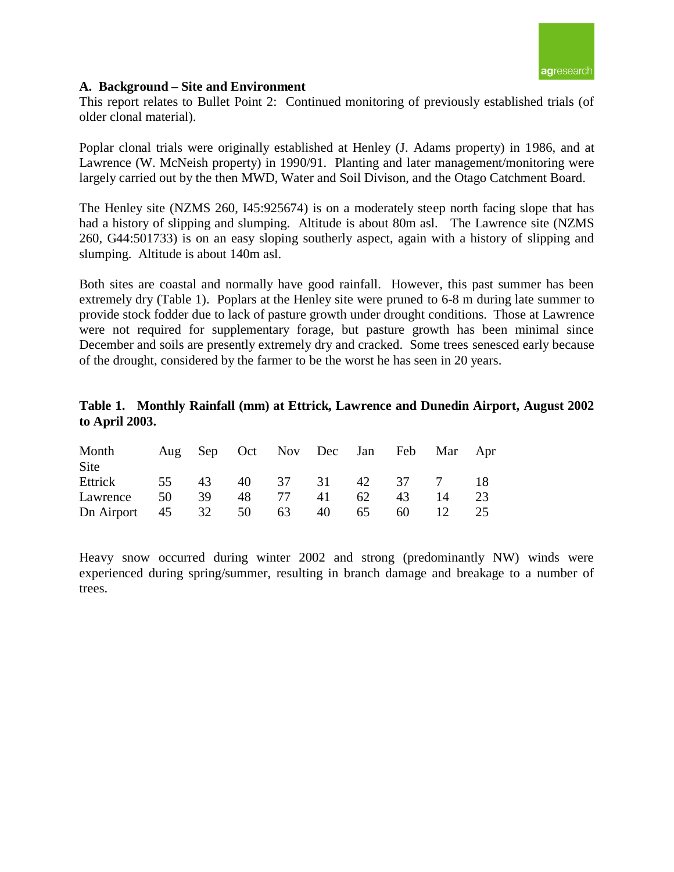

#### **A. Background – Site and Environment**

This report relates to Bullet Point 2: Continued monitoring of previously established trials (of older clonal material).

Poplar clonal trials were originally established at Henley (J. Adams property) in 1986, and at Lawrence (W. McNeish property) in 1990/91. Planting and later management/monitoring were largely carried out by the then MWD, Water and Soil Divison, and the Otago Catchment Board.

The Henley site (NZMS 260, I45:925674) is on a moderately steep north facing slope that has had a history of slipping and slumping. Altitude is about 80m asl. The Lawrence site (NZMS 260, G44:501733) is on an easy sloping southerly aspect, again with a history of slipping and slumping. Altitude is about 140m asl.

Both sites are coastal and normally have good rainfall. However, this past summer has been extremely dry (Table 1). Poplars at the Henley site were pruned to 6-8 m during late summer to provide stock fodder due to lack of pasture growth under drought conditions. Those at Lawrence were not required for supplementary forage, but pasture growth has been minimal since December and soils are presently extremely dry and cracked. Some trees senesced early because of the drought, considered by the farmer to be the worst he has seen in 20 years.

## **Table 1. Monthly Rainfall (mm) at Ettrick, Lawrence and Dunedin Airport, August 2002 to April 2003.**

| Month<br><b>Site</b>                  |  | Aug Sep Oct Nov Dec Jan Feb Mar Apr |  |    |    |
|---------------------------------------|--|-------------------------------------|--|----|----|
| Ettrick 55 43 40 37 31 42 37 7 18     |  |                                     |  |    |    |
| Lawrence 50 39 48 77 41 62 43         |  |                                     |  | 14 | 23 |
| Dn Airport 45 32 50 63 40 65 60 12 25 |  |                                     |  |    |    |

Heavy snow occurred during winter 2002 and strong (predominantly NW) winds were experienced during spring/summer, resulting in branch damage and breakage to a number of trees.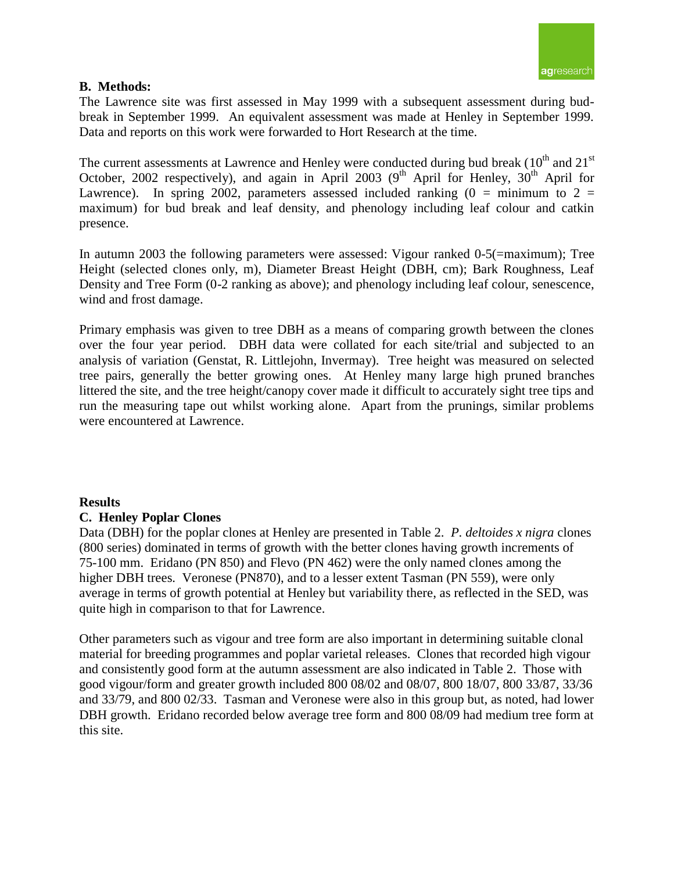

## **B. Methods:**

The Lawrence site was first assessed in May 1999 with a subsequent assessment during budbreak in September 1999. An equivalent assessment was made at Henley in September 1999. Data and reports on this work were forwarded to Hort Research at the time.

The current assessments at Lawrence and Henley were conducted during bud break  $(10<sup>th</sup>$  and  $21<sup>st</sup>$ October, 2002 respectively), and again in April 2003 ( $9<sup>th</sup>$  April for Henley,  $30<sup>th</sup>$  April for Lawrence). In spring 2002, parameters assessed included ranking  $(0 = \text{minimum to } 2 =$ maximum) for bud break and leaf density, and phenology including leaf colour and catkin presence.

In autumn 2003 the following parameters were assessed: Vigour ranked 0-5(=maximum); Tree Height (selected clones only, m), Diameter Breast Height (DBH, cm); Bark Roughness, Leaf Density and Tree Form (0-2 ranking as above); and phenology including leaf colour, senescence, wind and frost damage.

Primary emphasis was given to tree DBH as a means of comparing growth between the clones over the four year period. DBH data were collated for each site/trial and subjected to an analysis of variation (Genstat, R. Littlejohn, Invermay). Tree height was measured on selected tree pairs, generally the better growing ones. At Henley many large high pruned branches littered the site, and the tree height/canopy cover made it difficult to accurately sight tree tips and run the measuring tape out whilst working alone. Apart from the prunings, similar problems were encountered at Lawrence.

### **Results**

### **C. Henley Poplar Clones**

Data (DBH) for the poplar clones at Henley are presented in Table 2. *P. deltoides x nigra* clones (800 series) dominated in terms of growth with the better clones having growth increments of 75-100 mm. Eridano (PN 850) and Flevo (PN 462) were the only named clones among the higher DBH trees. Veronese (PN870), and to a lesser extent Tasman (PN 559), were only average in terms of growth potential at Henley but variability there, as reflected in the SED, was quite high in comparison to that for Lawrence.

Other parameters such as vigour and tree form are also important in determining suitable clonal material for breeding programmes and poplar varietal releases. Clones that recorded high vigour and consistently good form at the autumn assessment are also indicated in Table 2. Those with good vigour/form and greater growth included 800 08/02 and 08/07, 800 18/07, 800 33/87, 33/36 and 33/79, and 800 02/33. Tasman and Veronese were also in this group but, as noted, had lower DBH growth. Eridano recorded below average tree form and 800 08/09 had medium tree form at this site.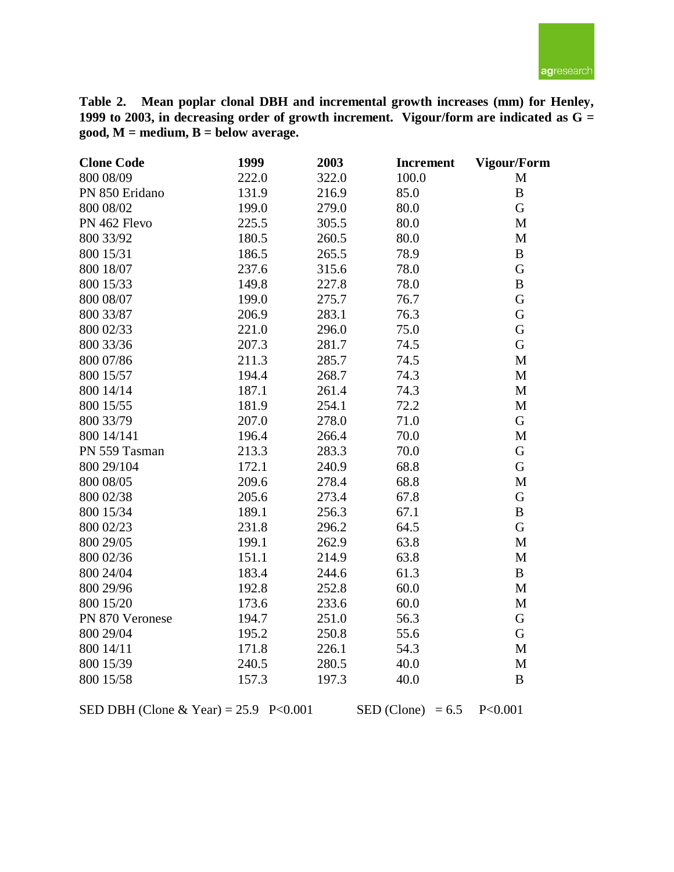

**Table 2. Mean poplar clonal DBH and incremental growth increases (mm) for Henley, 1999 to 2003, in decreasing order of growth increment. Vigour/form are indicated as G = good, M = medium, B = below average.**

| <b>Clone Code</b> | 1999  | 2003  | <b>Increment</b> | <b>Vigour/Form</b> |
|-------------------|-------|-------|------------------|--------------------|
| 800 08/09         | 222.0 | 322.0 | 100.0            | $\mathbf M$        |
| PN 850 Eridano    | 131.9 | 216.9 | 85.0             | $\bf{B}$           |
| 800 08/02         | 199.0 | 279.0 | 80.0             | G                  |
| PN 462 Flevo      | 225.5 | 305.5 | 80.0             | M                  |
| 800 33/92         | 180.5 | 260.5 | 80.0             | M                  |
| 800 15/31         | 186.5 | 265.5 | 78.9             | $\, {\bf B}$       |
| 800 18/07         | 237.6 | 315.6 | 78.0             | G                  |
| 800 15/33         | 149.8 | 227.8 | 78.0             | $\, {\bf B}$       |
| 800 08/07         | 199.0 | 275.7 | 76.7             | G                  |
| 800 33/87         | 206.9 | 283.1 | 76.3             | G                  |
| 800 02/33         | 221.0 | 296.0 | 75.0             | G                  |
| 800 33/36         | 207.3 | 281.7 | 74.5             | G                  |
| 800 07/86         | 211.3 | 285.7 | 74.5             | M                  |
| 800 15/57         | 194.4 | 268.7 | 74.3             | M                  |
| 800 14/14         | 187.1 | 261.4 | 74.3             | M                  |
| 800 15/55         | 181.9 | 254.1 | 72.2             | $\mathbf M$        |
| 800 33/79         | 207.0 | 278.0 | 71.0             | G                  |
| 800 14/141        | 196.4 | 266.4 | 70.0             | $\mathbf M$        |
| PN 559 Tasman     | 213.3 | 283.3 | 70.0             | G                  |
| 800 29/104        | 172.1 | 240.9 | 68.8             | $\mathbf G$        |
| 800 08/05         | 209.6 | 278.4 | 68.8             | $\mathbf M$        |
| 800 02/38         | 205.6 | 273.4 | 67.8             | G                  |
| 800 15/34         | 189.1 | 256.3 | 67.1             | $\, {\bf B}$       |
| 800 02/23         | 231.8 | 296.2 | 64.5             | G                  |
| 800 29/05         | 199.1 | 262.9 | 63.8             | $\mathbf M$        |
| 800 02/36         | 151.1 | 214.9 | 63.8             | M                  |
| 800 24/04         | 183.4 | 244.6 | 61.3             | $\, {\bf B}$       |
| 800 29/96         | 192.8 | 252.8 | 60.0             | M                  |
| 800 15/20         | 173.6 | 233.6 | 60.0             | M                  |
| PN 870 Veronese   | 194.7 | 251.0 | 56.3             | G                  |
| 800 29/04         | 195.2 | 250.8 | 55.6             | G                  |
| 800 14/11         | 171.8 | 226.1 | 54.3             | $\mathbf M$        |
| 800 15/39         | 240.5 | 280.5 | 40.0             | $\mathbf{M}$       |
| 800 15/58         | 157.3 | 197.3 | 40.0             | $\, {\bf B}$       |

SED DBH (Clone & Year) = 25.9 P<0.001 SED (Clone) = 6.5 P<0.001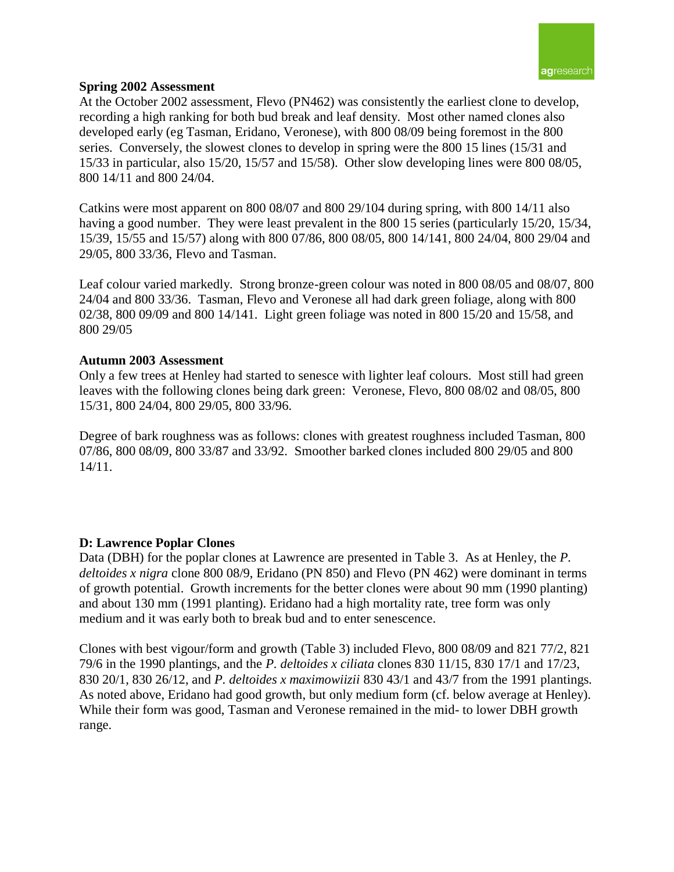

### **Spring 2002 Assessment**

At the October 2002 assessment, Flevo (PN462) was consistently the earliest clone to develop, recording a high ranking for both bud break and leaf density. Most other named clones also developed early (eg Tasman, Eridano, Veronese), with 800 08/09 being foremost in the 800 series. Conversely, the slowest clones to develop in spring were the 800 15 lines (15/31 and 15/33 in particular, also 15/20, 15/57 and 15/58). Other slow developing lines were 800 08/05, 800 14/11 and 800 24/04.

Catkins were most apparent on 800 08/07 and 800 29/104 during spring, with 800 14/11 also having a good number. They were least prevalent in the 800 15 series (particularly 15/20, 15/34, 15/39, 15/55 and 15/57) along with 800 07/86, 800 08/05, 800 14/141, 800 24/04, 800 29/04 and 29/05, 800 33/36, Flevo and Tasman.

Leaf colour varied markedly. Strong bronze-green colour was noted in 800 08/05 and 08/07, 800 24/04 and 800 33/36. Tasman, Flevo and Veronese all had dark green foliage, along with 800 02/38, 800 09/09 and 800 14/141. Light green foliage was noted in 800 15/20 and 15/58, and 800 29/05

### **Autumn 2003 Assessment**

Only a few trees at Henley had started to senesce with lighter leaf colours. Most still had green leaves with the following clones being dark green: Veronese, Flevo, 800 08/02 and 08/05, 800 15/31, 800 24/04, 800 29/05, 800 33/96.

Degree of bark roughness was as follows: clones with greatest roughness included Tasman, 800 07/86, 800 08/09, 800 33/87 and 33/92. Smoother barked clones included 800 29/05 and 800 14/11.

### **D: Lawrence Poplar Clones**

Data (DBH) for the poplar clones at Lawrence are presented in Table 3. As at Henley, the *P. deltoides x nigra* clone 800 08/9, Eridano (PN 850) and Flevo (PN 462) were dominant in terms of growth potential. Growth increments for the better clones were about 90 mm (1990 planting) and about 130 mm (1991 planting). Eridano had a high mortality rate, tree form was only medium and it was early both to break bud and to enter senescence.

Clones with best vigour/form and growth (Table 3) included Flevo, 800 08/09 and 821 77/2, 821 79/6 in the 1990 plantings, and the *P. deltoides x ciliata* clones 830 11/15, 830 17/1 and 17/23, 830 20/1, 830 26/12, and *P. deltoides x maximowiizii* 830 43/1 and 43/7 from the 1991 plantings. As noted above, Eridano had good growth, but only medium form (cf. below average at Henley). While their form was good, Tasman and Veronese remained in the mid- to lower DBH growth range.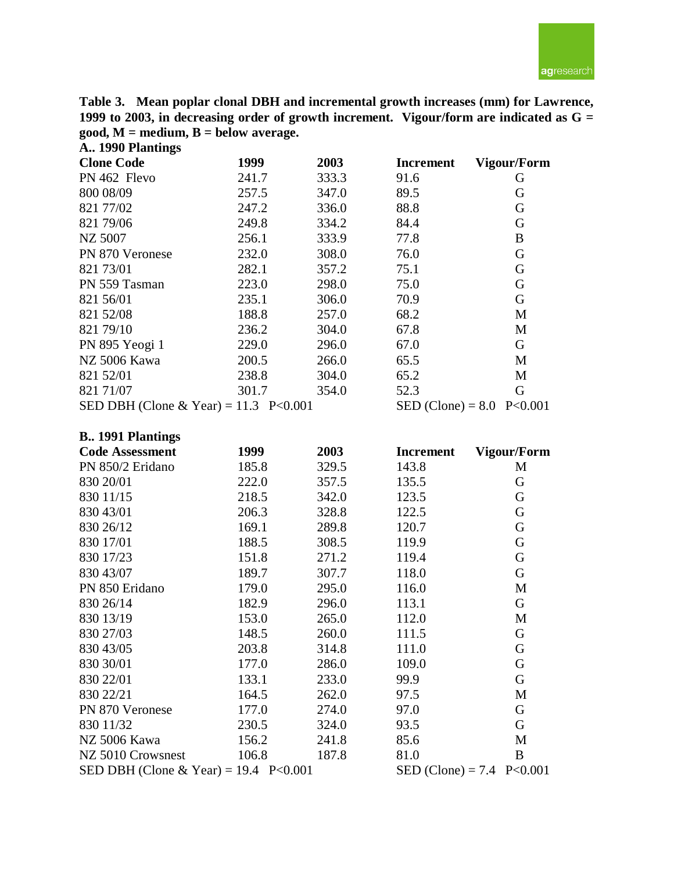agresearch

**Table 3. Mean poplar clonal DBH and incremental growth increases (mm) for Lawrence, 1999 to 2003, in decreasing order of growth increment. Vigour/form are indicated as G = good, M = medium, B = below average. A.. 1990 Plantings**

| $1 - 1$                               |       |       |                  |                             |
|---------------------------------------|-------|-------|------------------|-----------------------------|
| <b>Clone Code</b>                     | 1999  | 2003  | <b>Increment</b> | <b>Vigour/Form</b>          |
| PN 462 Flevo                          | 241.7 | 333.3 | 91.6             | G                           |
| 800 08/09                             | 257.5 | 347.0 | 89.5             | G                           |
| 821 77/02                             | 247.2 | 336.0 | 88.8             | G                           |
| 821 79/06                             | 249.8 | 334.2 | 84.4             | G                           |
| NZ 5007                               | 256.1 | 333.9 | 77.8             | B                           |
| PN 870 Veronese                       | 232.0 | 308.0 | 76.0             | G                           |
| 821 73/01                             | 282.1 | 357.2 | 75.1             | G                           |
| PN 559 Tasman                         | 223.0 | 298.0 | 75.0             | G                           |
| 821 56/01                             | 235.1 | 306.0 | 70.9             | G                           |
| 821 52/08                             | 188.8 | 257.0 | 68.2             | M                           |
| 821 79/10                             | 236.2 | 304.0 | 67.8             | M                           |
| PN 895 Yeogi 1                        | 229.0 | 296.0 | 67.0             | G                           |
| NZ 5006 Kawa                          | 200.5 | 266.0 | 65.5             | M                           |
| 821 52/01                             | 238.8 | 304.0 | 65.2             | M                           |
| 821 71/07                             | 301.7 | 354.0 | 52.3             | G                           |
| SED DBH (Clone & Year) = 11.3 P<0.001 |       |       |                  | SED (Clone) = $8.0$ P<0.001 |

## **B.. 1991 Plantings**

| <b>Code Assessment</b>                  | 1999                        | 2003  | <b>Increment</b> | Vigour/Form |
|-----------------------------------------|-----------------------------|-------|------------------|-------------|
| PN 850/2 Eridano                        | 185.8                       | 329.5 | 143.8            | M           |
| 830 20/01                               | 222.0                       | 357.5 | 135.5            | G           |
| 830 11/15                               | 218.5                       | 342.0 | 123.5            | G           |
| 830 43/01                               | 206.3                       | 328.8 | 122.5            | G           |
| 830 26/12                               | 169.1                       | 289.8 | 120.7            | G           |
| 830 17/01                               | 188.5                       | 308.5 | 119.9            | G           |
| 830 17/23                               | 151.8                       | 271.2 | 119.4            | G           |
| 830 43/07                               | 189.7                       | 307.7 | 118.0            | G           |
| PN 850 Eridano                          | 179.0                       | 295.0 | 116.0            | M           |
| 830 26/14                               | 182.9                       | 296.0 | 113.1            | G           |
| 830 13/19                               | 153.0                       | 265.0 | 112.0            | M           |
| 830 27/03                               | 148.5                       | 260.0 | 111.5            | G           |
| 830 43/05                               | 203.8                       | 314.8 | 111.0            | G           |
| 830 30/01                               | 177.0                       | 286.0 | 109.0            | G           |
| 830 22/01                               | 133.1                       | 233.0 | 99.9             | G           |
| 830 22/21                               | 164.5                       | 262.0 | 97.5             | M           |
| PN 870 Veronese                         | 177.0                       | 274.0 | 97.0             | G           |
| 830 11/32                               | 230.5                       | 324.0 | 93.5             | G           |
| NZ 5006 Kawa                            | 156.2                       | 241.8 | 85.6             | M           |
| NZ 5010 Crowsnest                       | 106.8                       | 187.8 | 81.0             | B           |
| SED DBH (Clone & Year) = $19.4$ P<0.001 | SED (Clone) = 7.4 $P<0.001$ |       |                  |             |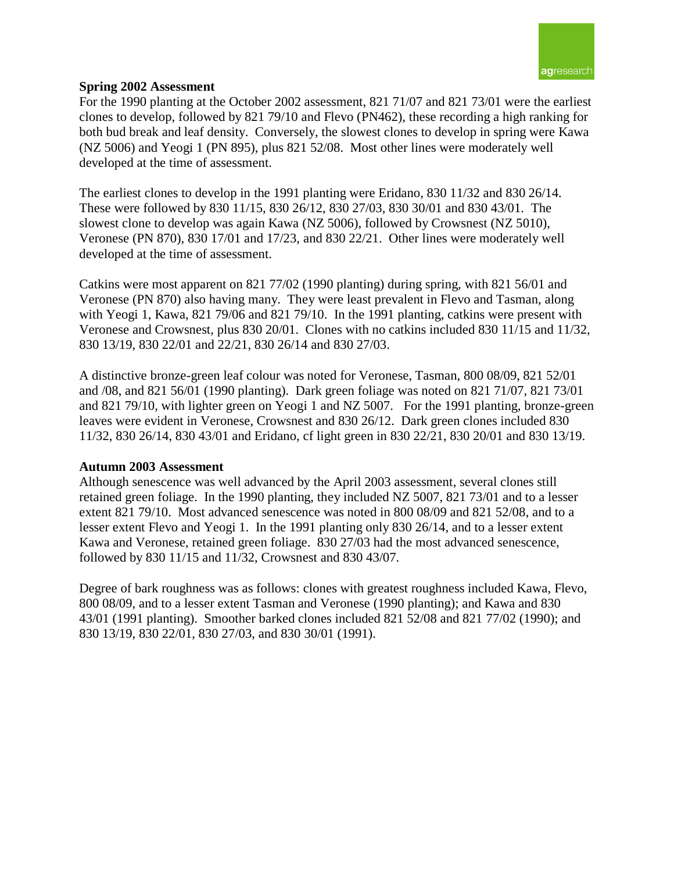

## **Spring 2002 Assessment**

For the 1990 planting at the October 2002 assessment, 821 71/07 and 821 73/01 were the earliest clones to develop, followed by 821 79/10 and Flevo (PN462), these recording a high ranking for both bud break and leaf density. Conversely, the slowest clones to develop in spring were Kawa (NZ 5006) and Yeogi 1 (PN 895), plus 821 52/08. Most other lines were moderately well developed at the time of assessment.

The earliest clones to develop in the 1991 planting were Eridano, 830 11/32 and 830 26/14. These were followed by 830 11/15, 830 26/12, 830 27/03, 830 30/01 and 830 43/01. The slowest clone to develop was again Kawa (NZ 5006), followed by Crowsnest (NZ 5010), Veronese (PN 870), 830 17/01 and 17/23, and 830 22/21. Other lines were moderately well developed at the time of assessment.

Catkins were most apparent on 821 77/02 (1990 planting) during spring, with 821 56/01 and Veronese (PN 870) also having many. They were least prevalent in Flevo and Tasman, along with Yeogi 1, Kawa, 821 79/06 and 821 79/10. In the 1991 planting, catkins were present with Veronese and Crowsnest, plus 830 20/01. Clones with no catkins included 830 11/15 and 11/32, 830 13/19, 830 22/01 and 22/21, 830 26/14 and 830 27/03.

A distinctive bronze-green leaf colour was noted for Veronese, Tasman, 800 08/09, 821 52/01 and /08, and 821 56/01 (1990 planting). Dark green foliage was noted on 821 71/07, 821 73/01 and 821 79/10, with lighter green on Yeogi 1 and NZ 5007. For the 1991 planting, bronze-green leaves were evident in Veronese, Crowsnest and 830 26/12. Dark green clones included 830 11/32, 830 26/14, 830 43/01 and Eridano, cf light green in 830 22/21, 830 20/01 and 830 13/19.

### **Autumn 2003 Assessment**

Although senescence was well advanced by the April 2003 assessment, several clones still retained green foliage. In the 1990 planting, they included NZ 5007, 821 73/01 and to a lesser extent 821 79/10. Most advanced senescence was noted in 800 08/09 and 821 52/08, and to a lesser extent Flevo and Yeogi 1. In the 1991 planting only 830 26/14, and to a lesser extent Kawa and Veronese, retained green foliage. 830 27/03 had the most advanced senescence, followed by 830 11/15 and 11/32, Crowsnest and 830 43/07.

Degree of bark roughness was as follows: clones with greatest roughness included Kawa, Flevo, 800 08/09, and to a lesser extent Tasman and Veronese (1990 planting); and Kawa and 830 43/01 (1991 planting). Smoother barked clones included 821 52/08 and 821 77/02 (1990); and 830 13/19, 830 22/01, 830 27/03, and 830 30/01 (1991).